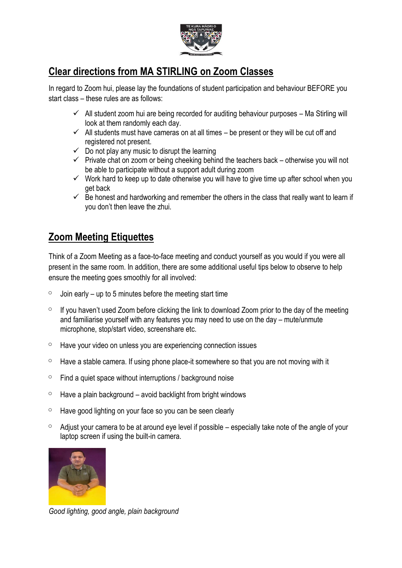

## **Clear directions from MA STIRLING on Zoom Classes**

In regard to Zoom hui, please lay the foundations of student participation and behaviour BEFORE you start class – these rules are as follows:

- $\checkmark$  All student zoom hui are being recorded for auditing behaviour purposes Ma Stirling will look at them randomly each day.
- $\checkmark$  All students must have cameras on at all times be present or they will be cut off and registered not present.
- $\checkmark$  Do not play any music to disrupt the learning
- $\checkmark$  Private chat on zoom or being cheeking behind the teachers back otherwise you will not be able to participate without a support adult during zoom
- $\checkmark$  Work hard to keep up to date otherwise you will have to give time up after school when you get back
- $\checkmark$  Be honest and hardworking and remember the others in the class that really want to learn if you don't then leave the zhui.

## **Zoom Meeting Etiquettes**

Think of a Zoom Meeting as a face-to-face meeting and conduct yourself as you would if you were all present in the same room. In addition, there are some additional useful tips below to observe to help ensure the meeting goes smoothly for all involved:

- $\degree$  Join early up to 5 minutes before the meeting start time
- $\degree$  If you haven't used Zoom before clicking the link to download Zoom prior to the day of the meeting and familiarise yourself with any features you may need to use on the day – mute/unmute microphone, stop/start video, screenshare etc.
- $\degree$  Have your video on unless you are experiencing connection issues
- $\circ$  Have a stable camera. If using phone place-it somewhere so that you are not moving with it
- $\circ$  Find a quiet space without interruptions / background noise
- $\degree$  Have a plain background avoid backlight from bright windows
- $\degree$  Have good lighting on your face so you can be seen clearly
- $\degree$  Adjust your camera to be at around eye level if possible especially take note of the angle of your laptop screen if using the built-in camera.



*Good lighting, good angle, plain background*